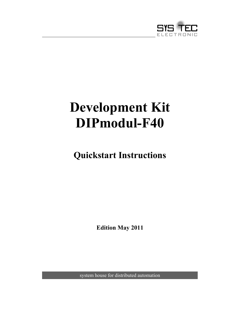

# **Development Kit DIPmodul-F40**

<span id="page-0-0"></span>**Quickstart Instructions** 

**Edition May 2011** 

system house for distributed automation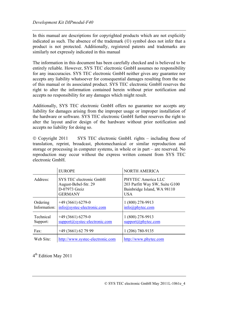In this manual are descriptions for copyrighted products which are not explicitly indicated as such. The absence of the trademark (©) symbol does not infer that a product is not protected. Additionally, registered patents and trademarks are similarly not expressly indicated in this manual

The information in this document has been carefully checked and is believed to be entirely reliable. However, SYS TEC electronic GmbH assumes no responsibility for any inaccuracies. SYS TEC electronic GmbH neither gives any guarantee nor accepts any liability whatsoever for consequential damages resulting from the use of this manual or its associated product. SYS TEC electronic GmbH reserves the right to alter the information contained herein without prior notification and accepts no responsibility for any damages which might result.

Additionally, SYS TEC electronic GmbH offers no guarantee nor accepts any liability for damages arising from the improper usage or improper installation of the hardware or software. SYS TEC electronic GmbH further reserves the right to alter the layout and/or design of the hardware without prior notification and accepts no liability for doing so.

© Copyright 2011 SYS TEC electronic GmbH. rights – including those of translation, reprint, broadcast, photomechanical or similar reproduction and storage or processing in computer systems, in whole or in part – are reserved. No reproduction may occur without the express written consent from SYS TEC electronic GmbH.

|                          | <b>EUROPE</b>                                                                             | <b>NORTH AMERICA</b>                                                                              |
|--------------------------|-------------------------------------------------------------------------------------------|---------------------------------------------------------------------------------------------------|
| Address <sup>-</sup>     | <b>SYS TEC electronic GmbH</b><br>August-Bebel-Str. 29<br>D-07973 Greiz<br><b>GERMANY</b> | PHYTEC America LLC<br>203 Parfitt Way SW, Suite G100<br>Bainbridge Island, WA 98110<br><b>USA</b> |
| Ordering<br>Information: | $+49(3661)6279-0$<br>info@systec-electronic.com                                           | 1 (800) 278-9913<br>info@phytec.com                                                               |
| Technical<br>Support:    | $+49(3661)6279-0$<br>support@systec-electronic.com                                        | 1 (800) 278-9913<br>support@phytec.com                                                            |
| $\Gamma$ ax              | +49 (3661) 62 79 99                                                                       | 1 (206) 780-9135                                                                                  |
| Web Site:                | http://www.systec-electronic.com                                                          | http://www.phytec.com                                                                             |

4th Edition May 2011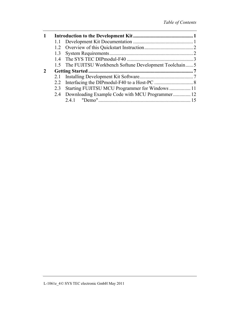|              |     | 1.5 The FUJITSU Workbench Softune Development Toolchain5 |  |
|--------------|-----|----------------------------------------------------------|--|
| $\mathbf{2}$ |     |                                                          |  |
|              |     |                                                          |  |
|              |     |                                                          |  |
|              | 2.3 |                                                          |  |
|              |     |                                                          |  |
|              |     |                                                          |  |
|              |     |                                                          |  |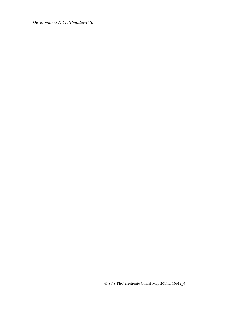*Development Kit DIPmodul-F40* 

© SYS TEC electronic GmbH May 2011 L-1061e\_4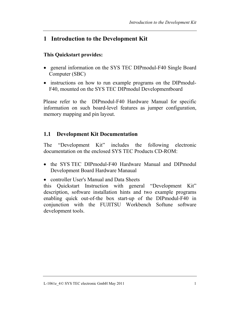# <span id="page-4-0"></span>**1 Introduction to the Development Kit**

## **This Quickstart provides:**

- general information on the SYS TEC DIPmodul-F40 Single Board Computer (SBC)
- instructions on how to run example programs on the DIPmodul-F40, mounted on the SYS TEC DIPmodul Developmentboard

Please refer to the DIPmodul-F40 Hardware Manual for specific information on such board-level features as jumper configuration, memory mapping and pin layout.

## **1.1 Development Kit Documentation**

The "Development Kit" includes the following electronic documentation on the enclosed SYS TEC Products CD-ROM:

- the SYS TEC DIPmodul-F40 Hardware Manual and DIPmodul Development Board Hardware Manaual
- controller User's Manual and Data Sheets

this Quickstart Instruction with general "Development Kit" description, software installation hints and two example programs enabling quick out-of-the box start-up of the DIPmodul-F40 in conjunction with the FUJITSU Workbench Softune software development tools.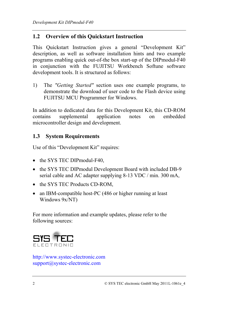## <span id="page-5-0"></span>**1.2 Overview of this Quickstart Instruction**

This Quickstart Instruction gives a general "Development Kit" description, as well as software installation hints and two example programs enabling quick out-of-the box start-up of the DIPmodul-F40 in conjunction with the FUJITSU Workbench Softune software development tools. It is structured as follows:

1) The *["Getting Started"](#page-10-1)* section uses one example programs, to demonstrate the download of user code to the Flash device using FUJITSU MCU Programmer for Windows.

In addition to dedicated data for this Development Kit, this CD-ROM contains supplemental application notes on embedded microcontroller design and development.

## **1.3 System Requirements**

Use of this "Development Kit" requires:

- the SYS TEC DIPmodul-F40,
- the SYS TEC DIPmodul Development Board with included DB-9 serial cable and AC adapter supplying 8-13 VDC / min. 300 mA,
- the SYS TEC Products CD-ROM.
- an IBM-compatible host-PC (486 or higher running at least Windows 9x/NT)

For more information and example updates, please refer to the following sources:



[http://www.systec-electronic.com](http://www.systec-electronic.com/) [support@systec-electronic.com](mailto:support@systec-electronic.com)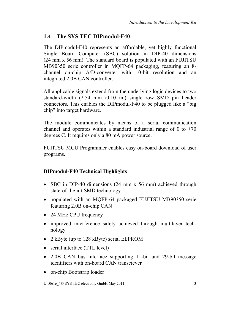## <span id="page-6-0"></span>**1.4 The SYS TEC DIPmodul-F40**

The DIPmodul-F40 represents an affordable, yet highly functional Single Board Computer (SBC) solution in DIP-40 dimensions (24 mm x 56 mm). The standard board is populated with an FUJITSU MB90350 serie controller in MQFP-64 packaging, featuring an 8 channel on-chip A/D-converter with 10-bit resolution and an integrated 2.0B CAN controller.

All applicable signals extend from the underlying logic devices to two standard-width (2.54 mm /0.10 in.) single row SMD pin header connectors. This enables the DIPmodul-F40 to be plugged like a "big chip" into target hardware.

The module communicates by means of a serial communication channel and operates within a standard industrial range of 0 to  $+70$ degrees C. It requires only a 80 mA power source.

FUJITSU MCU Programmer enables easy on-board download of user programs.

#### **DIPmodul-F40 Technical Highlights**

- SBC in DIP-40 dimensions (24 mm x 56 mm) achieved through state-of-the-art SMD technology
- populated with an MQFP-64 packaged FUJITSU MB90350 serie featuring 2.0B on-chip CAN
- 24 MHz CPU frequency
- improved interference safety achieved through multilayer technology
- 2 kByte (up to 128 kByte) serial EEPROM <sup>1</sup>
- serial interface (TTL level)
- 2.0B CAN bus interface supporting 11-bit and 29-bit message identifiers with on-board CAN transciever
- on-chip Bootstrap loader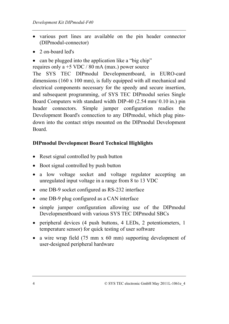- various port lines are available on the pin header connector (DIPmodul-connector)
- 2 on-board led's

• can be plugged into the application like a "big chip" requires only a  $+5$  VDC / 80 mA (max.) power source The SYS TEC DIPmodul Developmentboard, in EURO-card dimensions (160 x 100 mm), is fully equipped with all mechanical and electrical components necessary for the speedy and secure insertion, and subsequent programming, of SYS TEC DIPmodul series Single Board Computers with standard width DIP-40 (2.54 mm/ 0.10 in.) pin header connectors. Simple jumper configuration readies the Development Board's connection to any DIPmodul, which plug pinsdown into the contact strips mounted on the DIPmodul Development Board.

## **DIPmodul Development Board Technical Highlights**

- Reset signal controlled by push button
- Boot signal controlled by push button
- a low voltage socket and voltage regulator accepting an unregulated input voltage in a range from 8 to 13 VDC
- one DB-9 socket configured as RS-232 interface
- one DB-9 plug configured as a CAN interface
- simple jumper configuration allowing use of the DIPmodul Developmentboard with various SYS TEC DIPmodul SBCs
- peripheral devices (4 push buttons, 4 LEDs, 2 potentiometers, 1 temperature sensor) for quick testing of user software
- a wire wrap field (75 mm x 60 mm) supporting development of user-designed peripheral hardware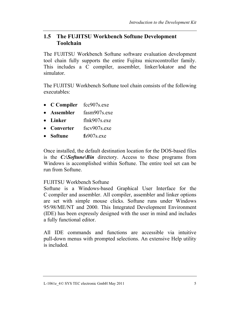## <span id="page-8-0"></span>**1.5 The FUJITSU Workbench Softune Development Toolchain**

The FUJITSU Workbench Softune software evaluation development tool chain fully supports the entire Fujitsu microcontroller family. This includes a C compiler, assembler, linker/lokator and the simulator.

The FUJITSU Workbench Softune tool chain consists of the following executables:

- **C Compiler** fcc907s.exe
- **Assembler** fasm907s exe
- **Linker flnk907s** exe
- **Converter fscv907s.exe**
- **Softune f**s907s.exe

Once installed, the default destination location for the DOS-based files is the *C:\Softune\Bin* directory. Access to these programs from Windows is accomplished within Softune. The entire tool set can be run from Softune.

#### FUJITSU Workbench Softune

Softune is a Windows-based Graphical User Interface for the C compiler and assembler. All compiler, assembler and linker options are set with simple mouse clicks. Softune runs under Windows 95/98/ME/NT and 2000. This Integrated Development Environment (IDE) has been expressly designed with the user in mind and includes a fully functional editor.

All IDE commands and functions are accessible via intuitive pull-down menus with prompted selections. An extensive Help utility is included.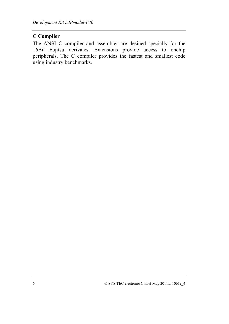#### **C Compiler**

The ANSI C compiler and assembler are desined specially for the 16Bit Fujitsu derivates. Extensions provide access to onchip peripherals. The C compiler provides the fastest and smallest code using industry benchmarks.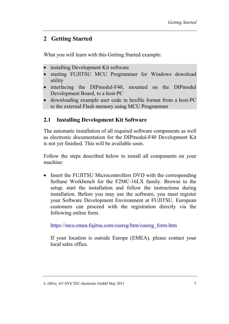# <span id="page-10-1"></span><span id="page-10-0"></span>**2 Getting Started**

What you will learn with this Getting Started example:

- installing Development Kit software
- starting FUJITSU MCU Programmer for Windows download utility
- interfacing the DIPmodul-F40, mounted on the DIPmodul Development Board, to a host-PC
- downloading example user code in hexfile format from a host-PC to the external Flash memory using MCU Programmer

# **2.1 Installing Development Kit Software**

The automatic installation of all required software components as well as electronic documentation for the DIPmodul-F40 Development Kit is not yet finished. This will be available soon.

Follow the steps described below to install all components on your machine:

• Insert the FUJITSU Microcontrollers DVD with the corresponding Softune Workbench for the F2MC-16LX family. Browse to the setup, start the installation and follow the instructions during installation. Before you may use the software, you must register your Software Development Environment at FUJITSU. European customers can proceed with the registration directly via the following online form.

[https://mcu.emea.fujitsu.com/cusreg/htm/cusreg\\_form.htm](https://mcu.emea.fujitsu.com/cusreg/htm/cusreg_form.htm)

If your location is outside Europe (EMEA), please contact your local sales office.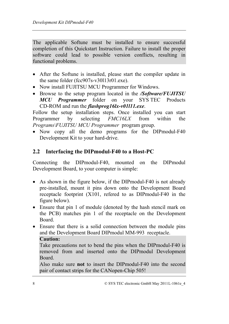<span id="page-11-0"></span>The applicable Softune must be installed to ensure successful completion of this Quickstart Instruction. Failure to install the proper software could lead to possible version conflicts, resulting in functional problems.

- After the Softune is installed, please start the compiler update in the same folder (fcc907s-v30l13r01.exe).
- Now install FUJITSU MCU Programmer for Windows.
- Browse to the setup program located in the */Software/FUJITSU MCU Programmer* folder on your SYS TEC Products CD-ROM and run the *flashprog16lx-v01l11.exe*.

Follow the setup installation steps. Once installed you can start Programmer by selecting *FMC16LX* from within the *Programs\FUJITSU MCU Programmer* program group.

• Now copy all the demo programs for the DIPmodul-F40 Development Kit to your hard-drive.

## **2.2 Interfacing the DIPmodul-F40 to a Host-PC**

Connecting the DIPmodul-F40, mounted on the DIPmodul Development Board, to your computer is simple:

- As shown in the figure below, if the DIPmodul-F40 is not already pre-installed, mount it pins down onto the Development Board receptacle footprint (X101, refered to as DIPmodul-F40 in the figure below).
- Ensure that pin 1 of module (denoted by the hash stencil mark on the PCB) matches pin 1 of the receptacle on the Development Board.
- Ensure that there is a solid connection between the module pins and the Development Board DIPmodul MM-993 receptacle.

#### **Caution:**

Take precautions not to bend the pins when the DIPmodul-F40 is removed from and inserted onto the DIPmodul Development Board.

Also make sure **not** to insert the DIPmodul-F40 into the second pair of contact strips for the CANopen-Chip 505!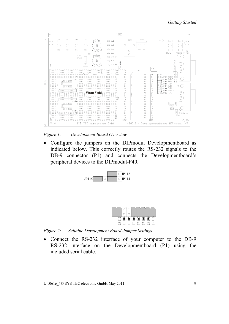

*Figure 1: Development Board Overview* 

• Configure the jumpers on the DIPmodul Developmentboard as indicated below. This correctly routes the RS-232 signals to the DB-9 connector (P1) and connects the Developmentboard's peripheral devices to the DIPmodul-F40.





*Figure 2: Suitable Development Board Jumper Settings* 

• Connect the RS-232 interface of your computer to the DB-9 RS-232 interface on the Developmentboard (P1) using the included serial cable.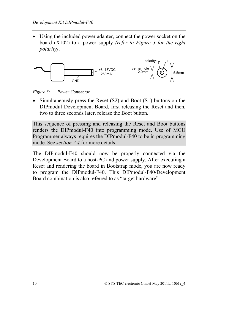• Using the included power adapter, connect the power socket on the board (X102) to a power supply *(refer to [Figure 3](#page-13-0) for the right polarity)*.



<span id="page-13-0"></span>*Figure 3: Power Connector* 

• Simultaneously press the Reset (S2) and Boot (S1) buttons on the DIPmodul Development Board, first releasing the Reset and then, two to three seconds later, release the Boot button.

This sequence of pressing and releasing the Reset and Boot buttons renders the DIPmodul-F40 into programming mode. Use of MCU Programmer always requires the DIPmodul-F40 to be in programming mode. See *section [2.4](#page-15-1)* for more details.

The DIPmodul-F40 should now be properly connected via the Development Board to a host-PC and power supply. After executing a Reset and rendering the board in Bootstrap mode, you are now ready to program the DIPmodul-F40. This DIPmodul-F40/Development Board combination is also referred to as "target hardware".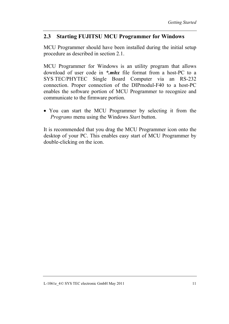## <span id="page-14-0"></span>**2.3 Starting FUJITSU MCU Programmer for Windows**

MCU Programmer should have been installed during the initial setup procedure as described in section 2.1.

MCU Programmer for Windows is an utility program that allows download of user code in *\*.mhx* file format from a host-PC to a SYS TEC/PHYTEC Single Board Computer via an RS-232 connection. Proper connection of the DIPmodul-F40 to a host-PC enables the software portion of MCU Programmer to recognize and communicate to the firmware portion.

• You can start the MCU Programmer by selecting it from the *Programs* menu using the Windows *Start* button.

It is recommended that you drag the MCU Programmer icon onto the desktop of your PC. This enables easy start of MCU Programmer by double-clicking on the icon.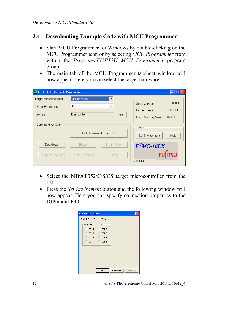## <span id="page-15-1"></span><span id="page-15-0"></span>**2.4 Downloading Example Code with MCU Programmer**

- Start MCU Programmer for Windows by double-clicking on the MCU Programmer icon or by selecting *MCU Programmer* from within the *Programs|FUJITSU MCU Programmer* program group.
- The main tab of the MCU Programmer tabsheet window will now appear. Here you can select the target hardware.

| <b>18 FUJITSU FLASH MCU Programmer</b> |                                        |                                        |
|----------------------------------------|----------------------------------------|----------------------------------------|
| Target Microcontroller                 | MB90F352/S<br>$\overline{\phantom{a}}$ |                                        |
| Crystal Frequency                      | 4MHz                                   | <b>FE0000H</b><br><b>Start Address</b> |
|                                        | Demo.mhx                               | <b>End Address</b><br><b>FFFFFFFH</b>  |
| Hex File                               | Open                                   | 020000H<br>Flash Memory Size           |
| Command to COM1                        |                                        | Option                                 |
|                                        | Full Operation(D+E+B+P)                | Set Environment<br>Help                |
| Download                               | <b>Blank Check</b><br>Erase            | $F^2MC-16LX$                           |
| Program & Verify                       | Read & Compare<br>Copy                 | fujítsu<br>V01.L13                     |
|                                        |                                        |                                        |

- Select the MB90F352/C/S/CS target microcontroller from the list.
- Press the *Set Enviroment* button and the following window will now appear. Here you can specify connection properties to the DIPmodul-F40.

| <b>Customize setting</b>  |                   |                         |
|---------------------------|-------------------|-------------------------|
| COM PORT Sound   Tooltips |                   |                         |
| COM PORT SELECT-          |                   |                         |
| $C$ COM1                  | C COM5            |                         |
|                           | $C$ COM2 $C$ COM6 |                         |
| $C$ COM3                  | $C$ COM7          |                         |
|                           | $C$ COM4 $C$ COM8 |                         |
|                           |                   |                         |
|                           |                   |                         |
|                           |                   |                         |
|                           |                   |                         |
|                           |                   |                         |
|                           | <b>OK</b>         | Abbrechen<br>Übernehmen |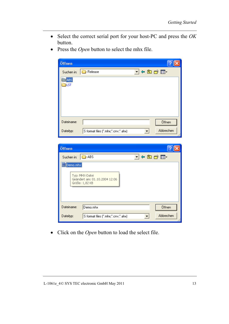- Select the correct serial port for your host-PC and press the *OK* button.
- Press the *Open* button to select the mhx file.

| Öffnen     |                                    |           |
|------------|------------------------------------|-----------|
| Suchen in: | Release                            | ▼←© ё •   |
| ABS        |                                    |           |
| LST        |                                    |           |
|            |                                    |           |
|            |                                    |           |
|            |                                    |           |
| Dateiname: |                                    | Öffnen    |
| Dateityp:  | S format files (".mhx;".cnv;".ahx) | Abbrechen |
|            |                                    |           |

| Öffnen     |                                                                   |                     |
|------------|-------------------------------------------------------------------|---------------------|
| Suchen in: | ABS                                                               | <b>- 수호 &amp; H</b> |
| bemo.mhx   |                                                                   |                     |
|            | Typ: MHX-Datei<br>Geändert am: 01.10.2004 12:06<br>Größe: 1,82 KB |                     |
| Dateiname: | Demo.mhx                                                          | Öffnen              |
| Dateityp:  | S format files (".mhx;".cnv;".ahx)                                | Abbrechen           |

• Click on the *Open* button to load the select file.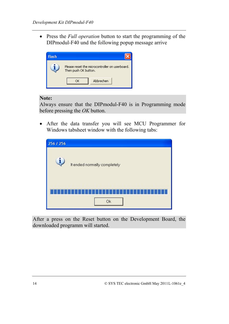• Press the *Full operation* button to start the programming of the DIPmodul-F40 und the following popup message arrive



#### **Note:**

Always ensure that the DIPmodul-F40 is in Programming mode before pressing the *OK* button.

• After the data transfer you will see MCU Programmer for Windows tabsheet window with the following tabs:



After a press on the Reset button on the Development Board, the downloaded programm will started.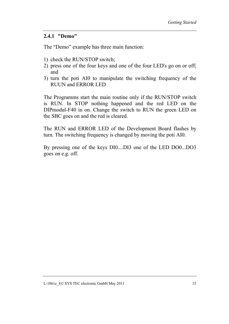#### <span id="page-18-0"></span>**2.4.1 "Demo"**

The "Demo" example has three main function:

- 1) check the RUN/STOP switch;
- 2) press one of the four keys and one of the four LED's go on or off; and
- 3) turn the poti AI0 to manipulate the switching frequency of the RUUN and ERROR LED

The Programms start the main routine only if the RUN/STOP switch is RUN. In STOP nothing happened and the red LED on the DIPmodul-F40 in on. Change the switch to RUN the green LED on the SBC goes on and the red is cleared.

The RUN and ERROR LED of the Development Board flashes by turn. The switching frequency is changed by moving the poti AI0.

By pressing one of the keys DI0....DI3 one of the LED DO0...DO3 goes on e.g. off.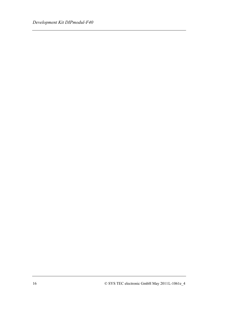*Development Kit DIPmodul-F40* 

16 © SYS TEC electronic GmbH May 2011 L-1061e\_4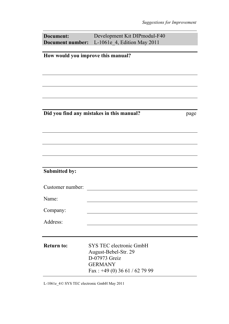| Development Kit DIPmodul-F40<br>Document:              |                                           |      |
|--------------------------------------------------------|-------------------------------------------|------|
| L-1061e_4, Edition May 2011<br><b>Document number:</b> |                                           |      |
|                                                        |                                           |      |
|                                                        | How would you improve this manual?        |      |
|                                                        |                                           |      |
|                                                        |                                           |      |
|                                                        |                                           |      |
|                                                        |                                           |      |
|                                                        |                                           |      |
|                                                        |                                           |      |
|                                                        |                                           |      |
|                                                        |                                           |      |
|                                                        | Did you find any mistakes in this manual? | page |
|                                                        |                                           |      |
|                                                        |                                           |      |
|                                                        |                                           |      |
|                                                        |                                           |      |
|                                                        |                                           |      |
|                                                        |                                           |      |
|                                                        |                                           |      |
| <b>Submitted by:</b>                                   |                                           |      |
|                                                        |                                           |      |
| Customer number:                                       |                                           |      |
|                                                        |                                           |      |
| Name:                                                  |                                           |      |
|                                                        |                                           |      |
| Company:                                               |                                           |      |
| Address:                                               |                                           |      |
|                                                        |                                           |      |
|                                                        |                                           |      |
|                                                        |                                           |      |
| <b>Return to:</b>                                      | <b>SYS TEC electronic GmbH</b>            |      |
|                                                        | August-Bebel-Str. 29                      |      |
|                                                        | D-07973 Greiz                             |      |
|                                                        | <b>GERMANY</b>                            |      |
|                                                        | Fax: $+49$ (0) 36 61 / 62 79 99           |      |

L-1061e\_4 © SYS TEC electronic GmbH May 2011